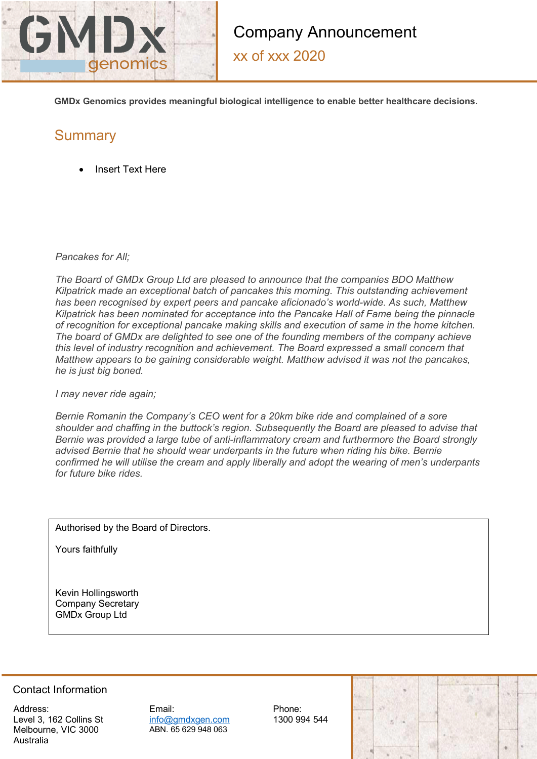

xx of xxx 2020

**GMDx Genomics provides meaningful biological intelligence to enable better healthcare decisions.** 

## **Summary**

• Insert Text Here

*Pancakes for All;*

*The Board of GMDx Group Ltd are pleased to announce that the companies BDO Matthew Kilpatrick made an exceptional batch of pancakes this morning. This outstanding achievement has been recognised by expert peers and pancake aficionado's world-wide. As such, Matthew Kilpatrick has been nominated for acceptance into the Pancake Hall of Fame being the pinnacle of recognition for exceptional pancake making skills and execution of same in the home kitchen. The board of GMDx are delighted to see one of the founding members of the company achieve this level of industry recognition and achievement. The Board expressed a small concern that Matthew appears to be gaining considerable weight. Matthew advised it was not the pancakes, he is just big boned.* 

*I may never ride again;*

*Bernie Romanin the Company's CEO went for a 20km bike ride and complained of a sore shoulder and chaffing in the buttock's region. Subsequently the Board are pleased to advise that Bernie was provided a large tube of anti-inflammatory cream and furthermore the Board strongly advised Bernie that he should wear underpants in the future when riding his bike. Bernie confirmed he will utilise the cream and apply liberally and adopt the wearing of men's underpants for future bike rides.* 

Authorised by the Board of Directors.

Yours faithfully

Kevin Hollingsworth Company Secretary GMDx Group Ltd

## Contact Information

Address: Level 3, 162 Collins St Melbourne, VIC 3000 Australia

Email: info@gmdxgen.com ABN. 65 629 948 063

Phone: 1300 994 544